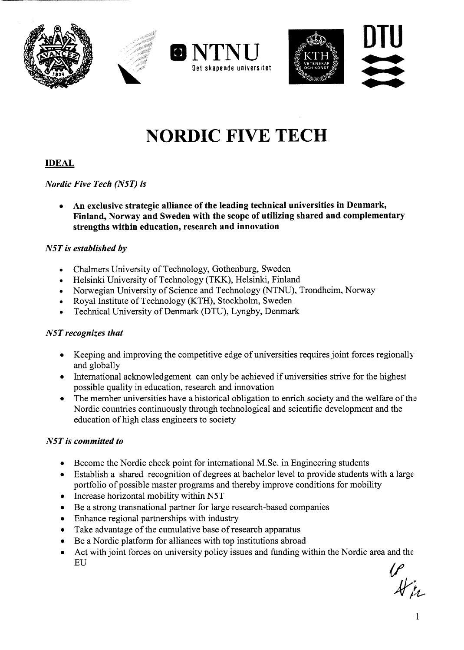





# **NORDIC FIVE TECH**

## **IDEAL**

#### *Nordic Five Tech (N5T) is*

**• An exclusive strategic alliance ofthe leading technical universitiesin Denmark, Finland, Norway and Sweden with the scope ofutilizing shared and complementary strengths within education, research and innovation**

#### *N5T* is *established by*

- Chalmers University of Technology, Gothenburg, Sweden
- Helsinki University of Technology (TKK), Helsinki, Finland
- Norwegian University of Science and Technology (NTNU), Trondheim, Norway
- Royal Institute of Technology (KTH), Stockholm, Sweden
- Technical University of Denmark (DTU), Lyngby, Denmark

#### *N5Trecognizes that*

- Keeping and improving the competitive edge of universities requires joint forces regionally and globally
- International acknowledgement can only be achieved if universities strive for the highest possible quality in education, research and innovation
- The member universities have a historical obligation to enrich society and the welfare of the Nordic countries continuously through technological and scientific development and the education of high class engineers to society

#### *N5Tis committed to*

- Become the Nordic check point for international M.Sc. in Engineering students
- Establish a shared recognition of degrees at bachelor level to provide students with a large portfolio of possible master programs and thereby improve conditions for mobility
- Increase horizontal mobility within N5T
- Be a strong transnational partner for large research-based companies
- Enhance regional partnerships with industry
- Take advantage of the cumulative base of research apparatus
- Be a Nordic platform for alliances with top institutions abroad
- Act with joint forces on university policy issues and funding within the Nordic area and the EU

 $\frac{1}{4}$